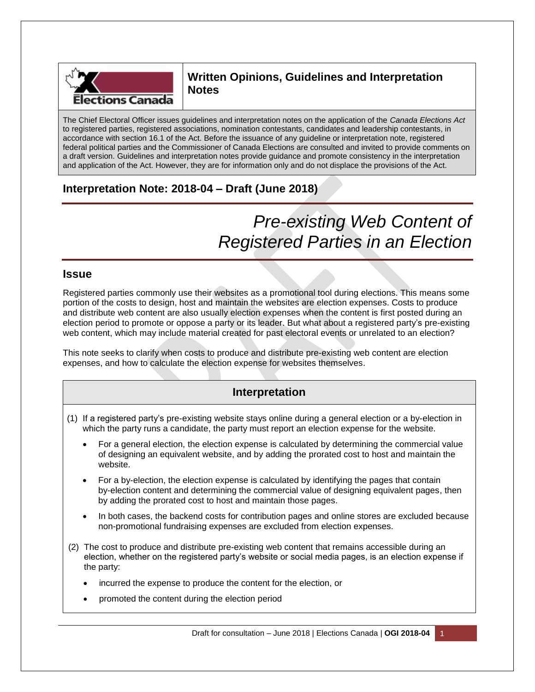

# **Written Opinions, Guidelines and Interpretation Notes**

The Chief Electoral Officer issues guidelines and interpretation notes on the application of the *Canada Elections Act* to registered parties, registered associations, nomination contestants, candidates and leadership contestants, in accordance with section 16.1 of the Act. Before the issuance of any guideline or interpretation note, registered federal political parties and the Commissioner of Canada Elections are consulted and invited to provide comments on a draft version. Guidelines and interpretation notes provide guidance and promote consistency in the interpretation and application of the Act. However, they are for information only and do not displace the provisions of the Act.

# **Interpretation Note: 2018-04 – Draft (June 2018)**

# *Pre-existing Web Content of Registered Parties in an Election*

### **Issue**

Registered parties commonly use their websites as a promotional tool during elections. This means some portion of the costs to design, host and maintain the websites are election expenses. Costs to produce and distribute web content are also usually election expenses when the content is first posted during an election period to promote or oppose a party or its leader. But what about a registered party's pre-existing web content, which may include material created for past electoral events or unrelated to an election?

This note seeks to clarify when costs to produce and distribute pre-existing web content are election expenses, and how to calculate the election expense for websites themselves.

## **Interpretation**

- (1) If a registered party's pre-existing website stays online during a general election or a by-election in which the party runs a candidate, the party must report an election expense for the website.
	- For a general election, the election expense is calculated by determining the commercial value of designing an equivalent website, and by adding the prorated cost to host and maintain the website.
	- For a by-election, the election expense is calculated by identifying the pages that contain by-election content and determining the commercial value of designing equivalent pages, then by adding the prorated cost to host and maintain those pages.
	- In both cases, the backend costs for contribution pages and online stores are excluded because non-promotional fundraising expenses are excluded from election expenses.
- (2) The cost to produce and distribute pre-existing web content that remains accessible during an election, whether on the registered party's website or social media pages, is an election expense if the party:
	- incurred the expense to produce the content for the election, or
	- promoted the content during the election period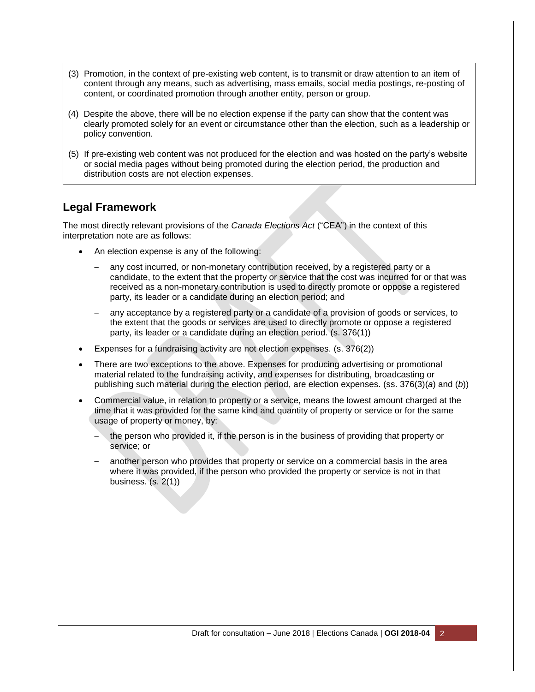- (3) Promotion, in the context of pre-existing web content, is to transmit or draw attention to an item of content through any means, such as advertising, mass emails, social media postings, re-posting of content, or coordinated promotion through another entity, person or group.
- (4) Despite the above, there will be no election expense if the party can show that the content was clearly promoted solely for an event or circumstance other than the election, such as a leadership or policy convention.
- (5) If pre-existing web content was not produced for the election and was hosted on the party's website or social media pages without being promoted during the election period, the production and distribution costs are not election expenses.

## **Legal Framework**

The most directly relevant provisions of the *Canada Elections Act* ("CEA") in the context of this interpretation note are as follows:

- An election expense is any of the following:
	- any cost incurred, or non-monetary contribution received, by a registered party or a candidate, to the extent that the property or service that the cost was incurred for or that was received as a non-monetary contribution is used to directly promote or oppose a registered party, its leader or a candidate during an election period; and
	- any acceptance by a registered party or a candidate of a provision of goods or services, to the extent that the goods or services are used to directly promote or oppose a registered party, its leader or a candidate during an election period. (s. 376(1))
- Expenses for a fundraising activity are not election expenses. (s. 376(2))
- There are two exceptions to the above. Expenses for producing advertising or promotional material related to the fundraising activity, and expenses for distributing, broadcasting or publishing such material during the election period, are election expenses. (ss. 376(3)(*a*) and (*b*))
- Commercial value, in relation to property or a service, means the lowest amount charged at the time that it was provided for the same kind and quantity of property or service or for the same usage of property or money, by:
	- the person who provided it, if the person is in the business of providing that property or service; or
	- another person who provides that property or service on a commercial basis in the area where it was provided, if the person who provided the property or service is not in that business. (s. 2(1))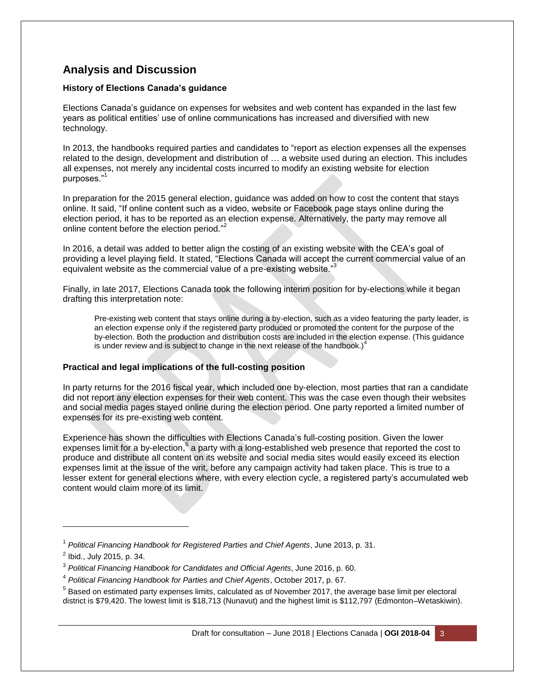# **Analysis and Discussion**

#### **History of Elections Canada's guidance**

Elections Canada's guidance on expenses for websites and web content has expanded in the last few years as political entities' use of online communications has increased and diversified with new technology.

In 2013, the handbooks required parties and candidates to "report as election expenses all the expenses related to the design, development and distribution of … a website used during an election. This includes all expenses, not merely any incidental costs incurred to modify an existing website for election purposes."<sup>1</sup>

In preparation for the 2015 general election, guidance was added on how to cost the content that stays online. It said, "If online content such as a video, website or Facebook page stays online during the election period, it has to be reported as an election expense. Alternatively, the party may remove all online content before the election period."<sup>2</sup>

In 2016, a detail was added to better align the costing of an existing website with the CEA's goal of providing a level playing field. It stated, "Elections Canada will accept the current commercial value of an equivalent website as the commercial value of a pre-existing website."

Finally, in late 2017, Elections Canada took the following interim position for by-elections while it began drafting this interpretation note:

Pre-existing web content that stays online during a by-election, such as a video featuring the party leader, is an election expense only if the registered party produced or promoted the content for the purpose of the by-election. Both the production and distribution costs are included in the election expense. (This guidance is under review and is subject to change in the next release of the handbook.) $<sup>4</sup>$ </sup>

#### **Practical and legal implications of the full-costing position**

In party returns for the 2016 fiscal year, which included one by-election, most parties that ran a candidate did not report any election expenses for their web content. This was the case even though their websites and social media pages stayed online during the election period. One party reported a limited number of expenses for its pre-existing web content.

Experience has shown the difficulties with Elections Canada's full-costing position. Given the lower expenses limit for a by-election,  $5$  a party with a long-established web presence that reported the cost to produce and distribute all content on its website and social media sites would easily exceed its election expenses limit at the issue of the writ, before any campaign activity had taken place. This is true to a lesser extent for general elections where, with every election cycle, a registered party's accumulated web content would claim more of its limit.

l

<sup>1</sup> *Political Financing Handbook for Registered Parties and Chief Agents*, June 2013, p. 31.

<sup>&</sup>lt;sup>2</sup> Ibid., July 2015, p. 34.

<sup>3</sup> *Political Financing Handbook for Candidates and Official Agents*, June 2016, p. 60.

<sup>4</sup> *Political Financing Handbook for Parties and Chief Agents*, October 2017, p. 67.

 $^5$  Based on estimated party expenses limits, calculated as of November 2017, the average base limit per electoral district is \$79,420. The lowest limit is \$18,713 (Nunavut) and the highest limit is \$112,797 (Edmonton–Wetaskiwin).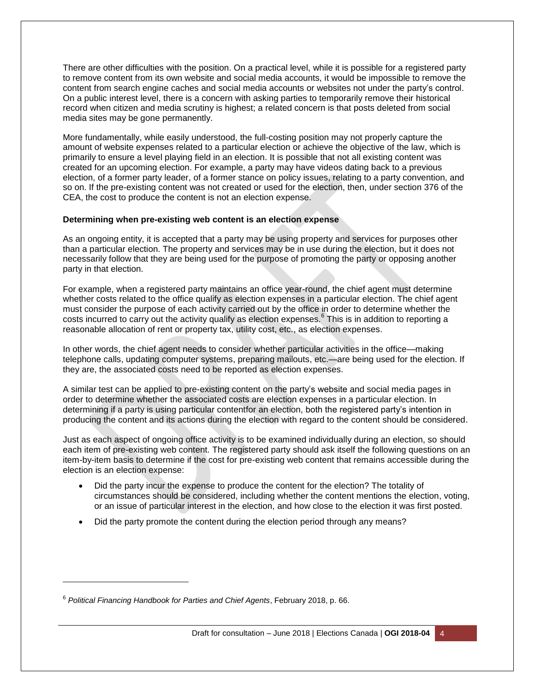There are other difficulties with the position. On a practical level, while it is possible for a registered party to remove content from its own website and social media accounts, it would be impossible to remove the content from search engine caches and social media accounts or websites not under the party's control. On a public interest level, there is a concern with asking parties to temporarily remove their historical record when citizen and media scrutiny is highest; a related concern is that posts deleted from social media sites may be gone permanently.

More fundamentally, while easily understood, the full-costing position may not properly capture the amount of website expenses related to a particular election or achieve the objective of the law, which is primarily to ensure a level playing field in an election. It is possible that not all existing content was created for an upcoming election. For example, a party may have videos dating back to a previous election, of a former party leader, of a former stance on policy issues, relating to a party convention, and so on. If the pre-existing content was not created or used for the election, then, under section 376 of the CEA, the cost to produce the content is not an election expense.

#### **Determining when pre-existing web content is an election expense**

As an ongoing entity, it is accepted that a party may be using property and services for purposes other than a particular election. The property and services may be in use during the election, but it does not necessarily follow that they are being used for the purpose of promoting the party or opposing another party in that election.

For example, when a registered party maintains an office year-round, the chief agent must determine whether costs related to the office qualify as election expenses in a particular election. The chief agent must consider the purpose of each activity carried out by the office in order to determine whether the costs incurred to carry out the activity qualify as election expenses.<sup>6</sup> This is in addition to reporting a reasonable allocation of rent or property tax, utility cost, etc., as election expenses.

In other words, the chief agent needs to consider whether particular activities in the office—making telephone calls, updating computer systems, preparing mailouts, etc.—are being used for the election. If they are, the associated costs need to be reported as election expenses.

A similar test can be applied to pre-existing content on the party's website and social media pages in order to determine whether the associated costs are election expenses in a particular election. In determining if a party is using particular contentfor an election, both the registered party's intention in producing the content and its actions during the election with regard to the content should be considered.

Just as each aspect of ongoing office activity is to be examined individually during an election, so should each item of pre-existing web content. The registered party should ask itself the following questions on an item-by-item basis to determine if the cost for pre-existing web content that remains accessible during the election is an election expense:

- Did the party incur the expense to produce the content for the election? The totality of circumstances should be considered, including whether the content mentions the election, voting, or an issue of particular interest in the election, and how close to the election it was first posted.
- Did the party promote the content during the election period through any means?

l

<sup>6</sup> *Political Financing Handbook for Parties and Chief Agents*, February 2018, p. 66.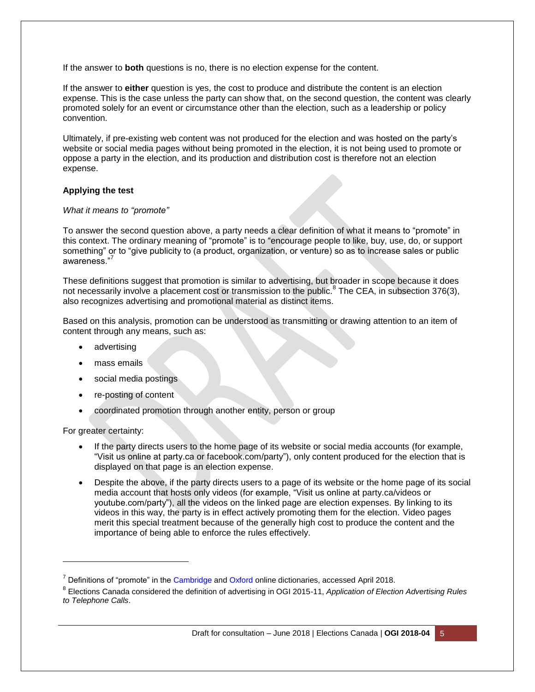If the answer to **both** questions is no, there is no election expense for the content.

If the answer to **either** question is yes, the cost to produce and distribute the content is an election expense. This is the case unless the party can show that, on the second question, the content was clearly promoted solely for an event or circumstance other than the election, such as a leadership or policy convention.

Ultimately, if pre-existing web content was not produced for the election and was hosted on the party's website or social media pages without being promoted in the election, it is not being used to promote or oppose a party in the election, and its production and distribution cost is therefore not an election expense.

#### **Applying the test**

#### *What it means to "promote"*

To answer the second question above, a party needs a clear definition of what it means to "promote" in this context. The ordinary meaning of "promote" is to "encourage people to like, buy, use, do, or support something" or to "give publicity to (a product, organization, or venture) so as to increase sales or public awareness."

These definitions suggest that promotion is similar to advertising, but broader in scope because it does not necessarily involve a placement cost or transmission to the public.<sup>8</sup> The CEA, in subsection 376(3), also recognizes advertising and promotional material as distinct items.

Based on this analysis, promotion can be understood as transmitting or drawing attention to an item of content through any means, such as:

- advertising
- mass emails
- social media postings
- re-posting of content
- coordinated promotion through another entity, person or group

For greater certainty:

l

- If the party directs users to the home page of its website or social media accounts (for example, "Visit us online at party.ca or facebook.com/party"), only content produced for the election that is displayed on that page is an election expense.
- Despite the above, if the party directs users to a page of its website or the home page of its social media account that hosts only videos (for example, "Visit us online at party.ca/videos or youtube.com/party"), all the videos on the linked page are election expenses. By linking to its videos in this way, the party is in effect actively promoting them for the election. Video pages merit this special treatment because of the generally high cost to produce the content and the importance of being able to enforce the rules effectively.

 $7$  Definitions of "promote" in the [Cambridge](https://dictionary.cambridge.org/dictionary/english/promote) an[d Oxford](https://en.oxforddictionaries.com/definition/promote) online dictionaries, accessed April 2018.

<sup>8</sup> Elections Canada considered the definition of advertising in OGI 2015-11, *Application of Election Advertising Rules to Telephone Calls*.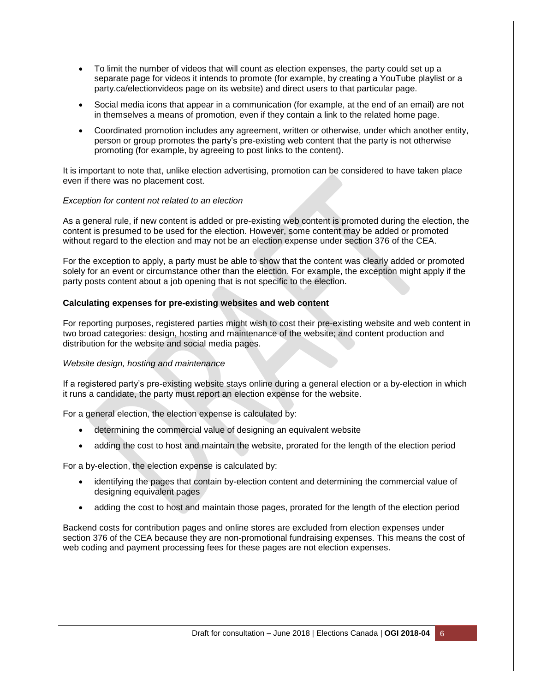- To limit the number of videos that will count as election expenses, the party could set up a separate page for videos it intends to promote (for example, by creating a YouTube playlist or a party.ca/electionvideos page on its website) and direct users to that particular page.
- Social media icons that appear in a communication (for example, at the end of an email) are not in themselves a means of promotion, even if they contain a link to the related home page.
- Coordinated promotion includes any agreement, written or otherwise, under which another entity, person or group promotes the party's pre-existing web content that the party is not otherwise promoting (for example, by agreeing to post links to the content).

It is important to note that, unlike election advertising, promotion can be considered to have taken place even if there was no placement cost.

#### *Exception for content not related to an election*

As a general rule, if new content is added or pre-existing web content is promoted during the election, the content is presumed to be used for the election. However, some content may be added or promoted without regard to the election and may not be an election expense under section 376 of the CEA.

For the exception to apply, a party must be able to show that the content was clearly added or promoted solely for an event or circumstance other than the election. For example, the exception might apply if the party posts content about a job opening that is not specific to the election.

#### **Calculating expenses for pre-existing websites and web content**

For reporting purposes, registered parties might wish to cost their pre-existing website and web content in two broad categories: design, hosting and maintenance of the website; and content production and distribution for the website and social media pages.

#### *Website design, hosting and maintenance*

If a registered party's pre-existing website stays online during a general election or a by-election in which it runs a candidate, the party must report an election expense for the website.

For a general election, the election expense is calculated by:

- determining the commercial value of designing an equivalent website
- adding the cost to host and maintain the website, prorated for the length of the election period

For a by-election, the election expense is calculated by:

- identifying the pages that contain by-election content and determining the commercial value of designing equivalent pages
- adding the cost to host and maintain those pages, prorated for the length of the election period

Backend costs for contribution pages and online stores are excluded from election expenses under section 376 of the CEA because they are non-promotional fundraising expenses. This means the cost of web coding and payment processing fees for these pages are not election expenses.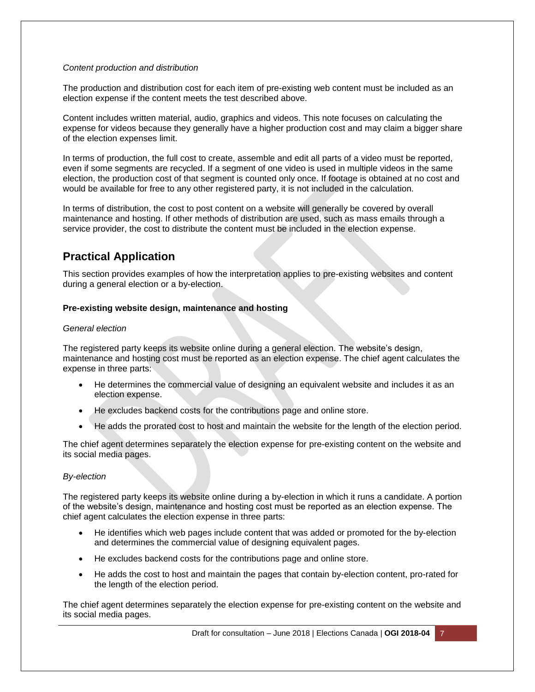#### *Content production and distribution*

The production and distribution cost for each item of pre-existing web content must be included as an election expense if the content meets the test described above.

Content includes written material, audio, graphics and videos. This note focuses on calculating the expense for videos because they generally have a higher production cost and may claim a bigger share of the election expenses limit.

In terms of production, the full cost to create, assemble and edit all parts of a video must be reported, even if some segments are recycled. If a segment of one video is used in multiple videos in the same election, the production cost of that segment is counted only once. If footage is obtained at no cost and would be available for free to any other registered party, it is not included in the calculation.

In terms of distribution, the cost to post content on a website will generally be covered by overall maintenance and hosting. If other methods of distribution are used, such as mass emails through a service provider, the cost to distribute the content must be included in the election expense.

## **Practical Application**

This section provides examples of how the interpretation applies to pre-existing websites and content during a general election or a by-election.

#### **Pre-existing website design, maintenance and hosting**

#### *General election*

The registered party keeps its website online during a general election. The website's design, maintenance and hosting cost must be reported as an election expense. The chief agent calculates the expense in three parts:

- He determines the commercial value of designing an equivalent website and includes it as an election expense.
- He excludes backend costs for the contributions page and online store.
- He adds the prorated cost to host and maintain the website for the length of the election period.

The chief agent determines separately the election expense for pre-existing content on the website and its social media pages.

#### *By-election*

The registered party keeps its website online during a by-election in which it runs a candidate. A portion of the website's design, maintenance and hosting cost must be reported as an election expense. The chief agent calculates the election expense in three parts:

- He identifies which web pages include content that was added or promoted for the by-election and determines the commercial value of designing equivalent pages.
- He excludes backend costs for the contributions page and online store.
- He adds the cost to host and maintain the pages that contain by-election content, pro-rated for the length of the election period.

The chief agent determines separately the election expense for pre-existing content on the website and its social media pages.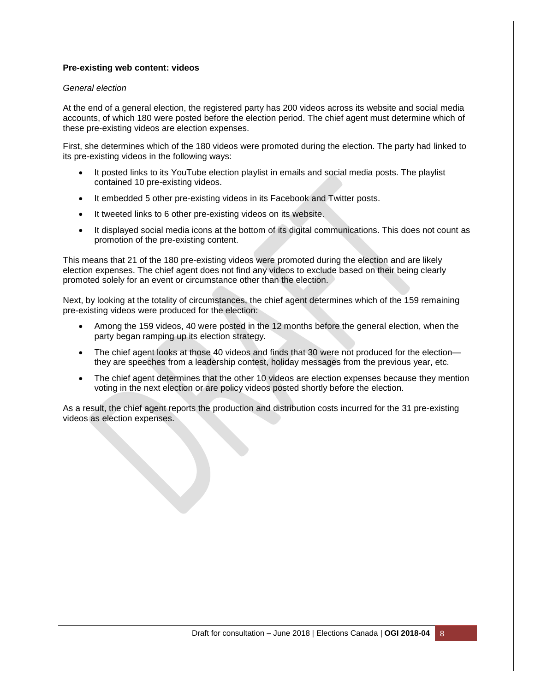#### **Pre-existing web content: videos**

#### *General election*

At the end of a general election, the registered party has 200 videos across its website and social media accounts, of which 180 were posted before the election period. The chief agent must determine which of these pre-existing videos are election expenses.

First, she determines which of the 180 videos were promoted during the election. The party had linked to its pre-existing videos in the following ways:

- It posted links to its YouTube election playlist in emails and social media posts. The playlist contained 10 pre-existing videos.
- It embedded 5 other pre-existing videos in its Facebook and Twitter posts.
- It tweeted links to 6 other pre-existing videos on its website.
- It displayed social media icons at the bottom of its digital communications. This does not count as promotion of the pre-existing content.

This means that 21 of the 180 pre-existing videos were promoted during the election and are likely election expenses. The chief agent does not find any videos to exclude based on their being clearly promoted solely for an event or circumstance other than the election.

Next, by looking at the totality of circumstances, the chief agent determines which of the 159 remaining pre-existing videos were produced for the election:

- Among the 159 videos, 40 were posted in the 12 months before the general election, when the party began ramping up its election strategy.
- The chief agent looks at those 40 videos and finds that 30 were not produced for the election they are speeches from a leadership contest, holiday messages from the previous year, etc.
- The chief agent determines that the other 10 videos are election expenses because they mention voting in the next election or are policy videos posted shortly before the election.

As a result, the chief agent reports the production and distribution costs incurred for the 31 pre-existing videos as election expenses.